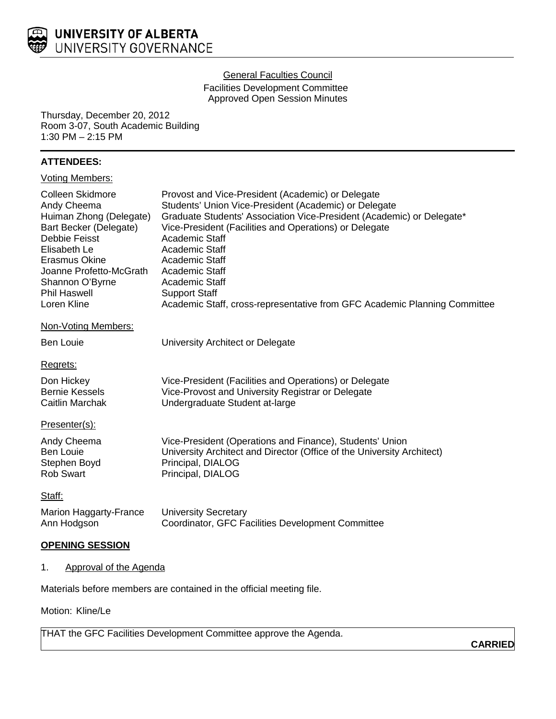

# General Faculties Council

Facilities Development Committee Approved Open Session Minutes

Thursday, December 20, 2012 Room 3-07, South Academic Building 1:30 PM – 2:15 PM

### **ATTENDEES:**

#### Voting Members:

| Colleen Skidmore<br>Andy Cheema<br>Huiman Zhong (Delegate)<br>Bart Becker (Delegate)<br><b>Debbie Feisst</b><br>Elisabeth Le<br>Erasmus Okine<br>Joanne Profetto-McGrath<br>Shannon O'Byrne<br><b>Phil Haswell</b><br>Loren Kline | Provost and Vice-President (Academic) or Delegate<br>Students' Union Vice-President (Academic) or Delegate<br>Graduate Students' Association Vice-President (Academic) or Delegate*<br>Vice-President (Facilities and Operations) or Delegate<br>Academic Staff<br>Academic Staff<br>Academic Staff<br>Academic Staff<br><b>Academic Staff</b><br><b>Support Staff</b><br>Academic Staff, cross-representative from GFC Academic Planning Committee |
|-----------------------------------------------------------------------------------------------------------------------------------------------------------------------------------------------------------------------------------|-----------------------------------------------------------------------------------------------------------------------------------------------------------------------------------------------------------------------------------------------------------------------------------------------------------------------------------------------------------------------------------------------------------------------------------------------------|
| Non-Voting Members:                                                                                                                                                                                                               |                                                                                                                                                                                                                                                                                                                                                                                                                                                     |
| <b>Ben Louie</b>                                                                                                                                                                                                                  | University Architect or Delegate                                                                                                                                                                                                                                                                                                                                                                                                                    |
| Regrets:                                                                                                                                                                                                                          |                                                                                                                                                                                                                                                                                                                                                                                                                                                     |
| Don Hickey<br><b>Bernie Kessels</b><br>Caitlin Marchak                                                                                                                                                                            | Vice-President (Facilities and Operations) or Delegate<br>Vice-Provost and University Registrar or Delegate<br>Undergraduate Student at-large                                                                                                                                                                                                                                                                                                       |
| Presenter(s):                                                                                                                                                                                                                     |                                                                                                                                                                                                                                                                                                                                                                                                                                                     |
| Andy Cheema<br><b>Ben Louie</b><br>Stephen Boyd<br><b>Rob Swart</b>                                                                                                                                                               | Vice-President (Operations and Finance), Students' Union<br>University Architect and Director (Office of the University Architect)<br>Principal, DIALOG<br>Principal, DIALOG                                                                                                                                                                                                                                                                        |
| Staff:                                                                                                                                                                                                                            |                                                                                                                                                                                                                                                                                                                                                                                                                                                     |
| Marion Haggarty-France<br>Ann Hodgson                                                                                                                                                                                             | <b>University Secretary</b><br>Coordinator, GFC Facilities Development Committee                                                                                                                                                                                                                                                                                                                                                                    |

## **OPENING SESSION**

### 1. Approval of the Agenda

Materials before members are contained in the official meeting file.

### Motion: Kline/Le

THAT the GFC Facilities Development Committee approve the Agenda.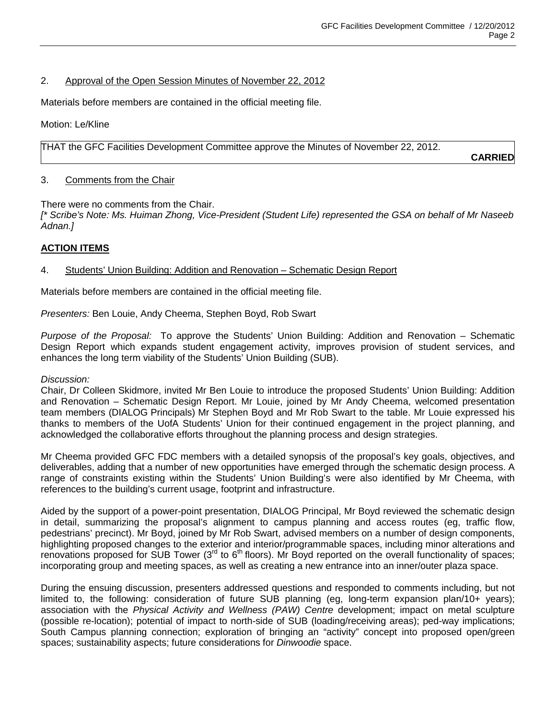## 2. Approval of the Open Session Minutes of November 22, 2012

Materials before members are contained in the official meeting file.

Motion: Le/Kline

THAT the GFC Facilities Development Committee approve the Minutes of November 22, 2012.

**CARRIED**

## 3. Comments from the Chair

There were no comments from the Chair.

*[\* Scribe's Note: Ms. Huiman Zhong, Vice-President (Student Life) represented the GSA on behalf of Mr Naseeb Adnan.]*

## **ACTION ITEMS**

## 4. Students' Union Building: Addition and Renovation – Schematic Design Report

Materials before members are contained in the official meeting file.

*Presenters:* Ben Louie, Andy Cheema, Stephen Boyd, Rob Swart

*Purpose of the Proposal:* To approve the Students' Union Building: Addition and Renovation – Schematic Design Report which expands student engagement activity, improves provision of student services, and enhances the long term viability of the Students' Union Building (SUB).

### *Discussion:*

Chair, Dr Colleen Skidmore, invited Mr Ben Louie to introduce the proposed Students' Union Building: Addition and Renovation – Schematic Design Report. Mr Louie, joined by Mr Andy Cheema, welcomed presentation team members (DIALOG Principals) Mr Stephen Boyd and Mr Rob Swart to the table. Mr Louie expressed his thanks to members of the UofA Students' Union for their continued engagement in the project planning, and acknowledged the collaborative efforts throughout the planning process and design strategies.

Mr Cheema provided GFC FDC members with a detailed synopsis of the proposal's key goals, objectives, and deliverables, adding that a number of new opportunities have emerged through the schematic design process. A range of constraints existing within the Students' Union Building's were also identified by Mr Cheema, with references to the building's current usage, footprint and infrastructure.

Aided by the support of a power-point presentation, DIALOG Principal, Mr Boyd reviewed the schematic design in detail, summarizing the proposal's alignment to campus planning and access routes (eg, traffic flow, pedestrians' precinct). Mr Boyd, joined by Mr Rob Swart, advised members on a number of design components, highlighting proposed changes to the exterior and interior/programmable spaces, including minor alterations and renovations proposed for SUB Tower ( $3<sup>rd</sup>$  to  $6<sup>th</sup>$  floors). Mr Boyd reported on the overall functionality of spaces; incorporating group and meeting spaces, as well as creating a new entrance into an inner/outer plaza space.

During the ensuing discussion, presenters addressed questions and responded to comments including, but not limited to, the following: consideration of future SUB planning (eg, long-term expansion plan/10+ years); association with the *Physical Activity and Wellness (PAW) Centre* development; impact on metal sculpture (possible re-location); potential of impact to north-side of SUB (loading/receiving areas); ped-way implications; South Campus planning connection; exploration of bringing an "activity" concept into proposed open/green spaces; sustainability aspects; future considerations for *Dinwoodie* space.